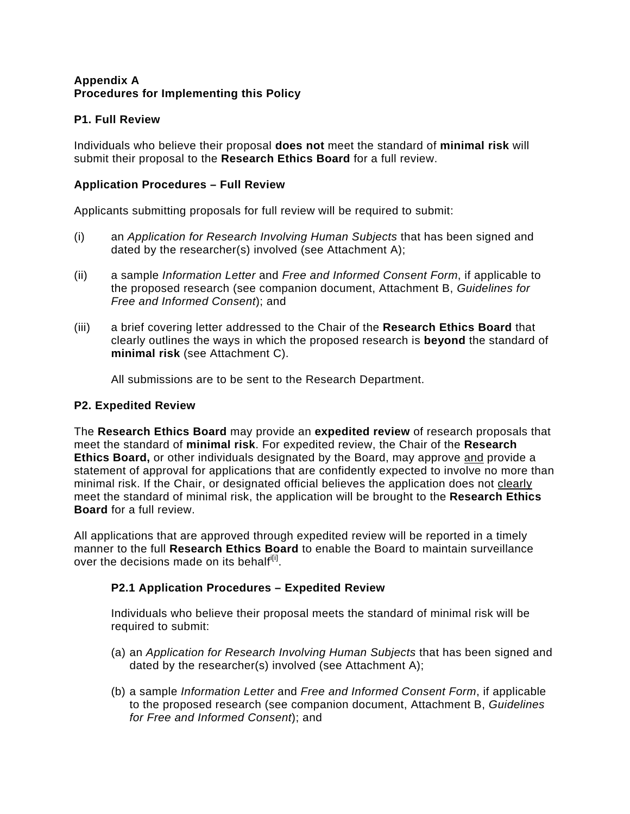## **Appendix A Procedures for Implementing this Policy**

# **P1. Full Review**

Individuals who believe their proposal **does not** meet the standard of **minimal risk** will submit their proposal to the **Research Ethics Board** for a full review.

## **Application Procedures – Full Review**

Applicants submitting proposals for full review will be required to submit:

- (i) an *Application for Research Involving Human Subjects* that has been signed and dated by the researcher(s) involved (see Attachment A);
- (ii) a sample *Information Letter* and *Free and Informed Consent Form*, if applicable to the proposed research (see companion document, Attachment B, *Guidelines for Free and Informed Consent*); and
- (iii) a brief covering letter addressed to the Chair of the **Research Ethics Board** that clearly outlines the ways in which the proposed research is **beyond** the standard of **minimal risk** (see Attachment C).

All submissions are to be sent to the Research Department.

## **P2. Expedited Review**

The **Research Ethics Board** may provide an **expedited review** of research proposals that meet the standard of **minimal risk**. For expedited review, the Chair of the **Research Ethics Board,** or other individuals designated by the Board, may approve and provide a statement of approval for applications that are confidently expected to involve no more than minimal risk. If the Chair, or designated official believes the application does not clearly meet the standard of minimal risk, the application will be brought to the **Research Ethics Board** for a full review.

All applications that are approved through expedited review will be reported in a timely manner to the full **Research Ethics Board** to enable the Board to maintain surveillance over the decisions made on its behalf<sup>i[i]</sup>.

# **P2.1 Application Procedures – Expedited Review**

Individuals who believe their proposal meets the standard of minimal risk will be required to submit:

- (a) an *Application for Research Involving Human Subjects* that has been signed and dated by the researcher(s) involved (see Attachment A);
- (b) a sample *Information Letter* and *Free and Informed Consent Form*, if applicable to the proposed research (see companion document, Attachment B, *Guidelines for Free and Informed Consent*); and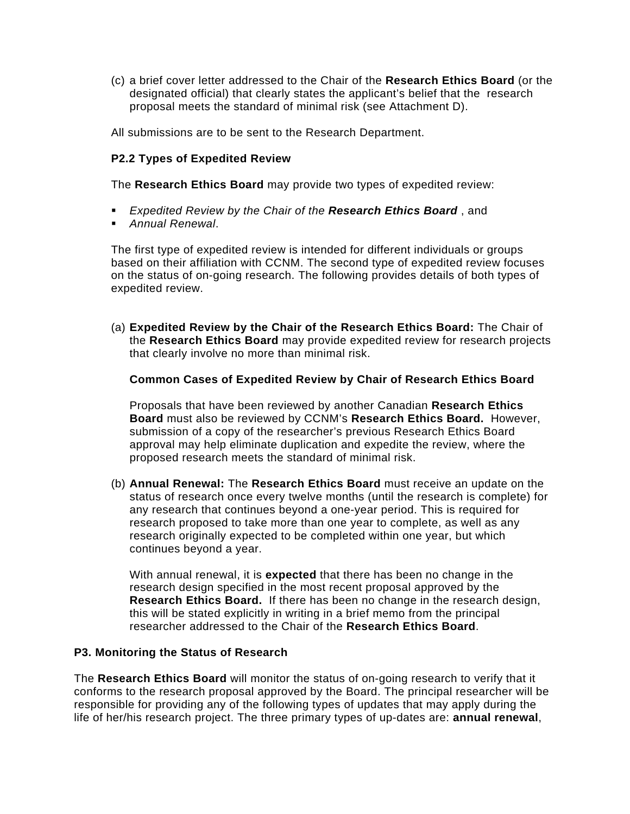(c) a brief cover letter addressed to the Chair of the **Research Ethics Board** (or the designated official) that clearly states the applicant's belief that the research proposal meets the standard of minimal risk (see Attachment D).

All submissions are to be sent to the Research Department.

## **P2.2 Types of Expedited Review**

The **Research Ethics Board** may provide two types of expedited review:

- *Expedited Review by the Chair of the Research Ethics Board* , and
- *Annual Renewal*.

The first type of expedited review is intended for different individuals or groups based on their affiliation with CCNM. The second type of expedited review focuses on the status of on-going research. The following provides details of both types of expedited review.

(a) **Expedited Review by the Chair of the Research Ethics Board:** The Chair of the **Research Ethics Board** may provide expedited review for research projects that clearly involve no more than minimal risk.

### **Common Cases of Expedited Review by Chair of Research Ethics Board**

Proposals that have been reviewed by another Canadian **Research Ethics Board** must also be reviewed by CCNM's **Research Ethics Board.** However, submission of a copy of the researcher's previous Research Ethics Board approval may help eliminate duplication and expedite the review, where the proposed research meets the standard of minimal risk.

(b) **Annual Renewal:** The **Research Ethics Board** must receive an update on the status of research once every twelve months (until the research is complete) for any research that continues beyond a one-year period. This is required for research proposed to take more than one year to complete, as well as any research originally expected to be completed within one year, but which continues beyond a year.

With annual renewal, it is **expected** that there has been no change in the research design specified in the most recent proposal approved by the **Research Ethics Board.** If there has been no change in the research design, this will be stated explicitly in writing in a brief memo from the principal researcher addressed to the Chair of the **Research Ethics Board**.

#### **P3. Monitoring the Status of Research**

The **Research Ethics Board** will monitor the status of on-going research to verify that it conforms to the research proposal approved by the Board. The principal researcher will be responsible for providing any of the following types of updates that may apply during the life of her/his research project. The three primary types of up-dates are: **annual renewal**,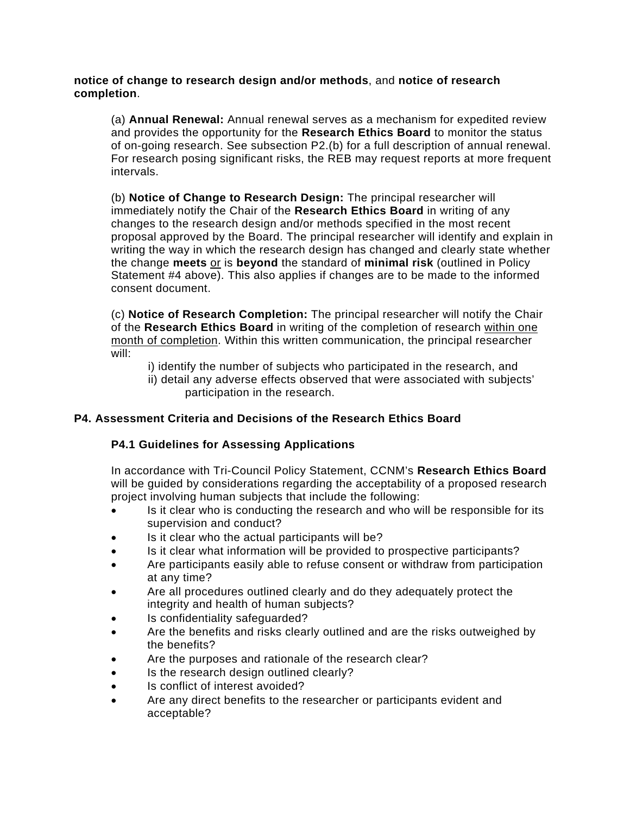#### **notice of change to research design and/or methods**, and **notice of research completion**.

(a) **Annual Renewal:** Annual renewal serves as a mechanism for expedited review and provides the opportunity for the **Research Ethics Board** to monitor the status of on-going research. See subsection P2.(b) for a full description of annual renewal. For research posing significant risks, the REB may request reports at more frequent intervals.

(b) **Notice of Change to Research Design:** The principal researcher will immediately notify the Chair of the **Research Ethics Board** in writing of any changes to the research design and/or methods specified in the most recent proposal approved by the Board. The principal researcher will identify and explain in writing the way in which the research design has changed and clearly state whether the change **meets** or is **beyond** the standard of **minimal risk** (outlined in Policy Statement #4 above). This also applies if changes are to be made to the informed consent document.

(c) **Notice of Research Completion:** The principal researcher will notify the Chair of the **Research Ethics Board** in writing of the completion of research within one month of completion. Within this written communication, the principal researcher will:

- i) identify the number of subjects who participated in the research, and
- ii) detail any adverse effects observed that were associated with subjects' participation in the research.

# **P4. Assessment Criteria and Decisions of the Research Ethics Board**

# **P4.1 Guidelines for Assessing Applications**

In accordance with Tri-Council Policy Statement, CCNM's **Research Ethics Board** will be guided by considerations regarding the acceptability of a proposed research project involving human subjects that include the following:

- Is it clear who is conducting the research and who will be responsible for its supervision and conduct?
- Is it clear who the actual participants will be?
- Is it clear what information will be provided to prospective participants?
- Are participants easily able to refuse consent or withdraw from participation at any time?
- Are all procedures outlined clearly and do they adequately protect the integrity and health of human subjects?
- Is confidentiality safeguarded?
- Are the benefits and risks clearly outlined and are the risks outweighed by the benefits?
- Are the purposes and rationale of the research clear?
- Is the research design outlined clearly?
- Is conflict of interest avoided?
- Are any direct benefits to the researcher or participants evident and acceptable?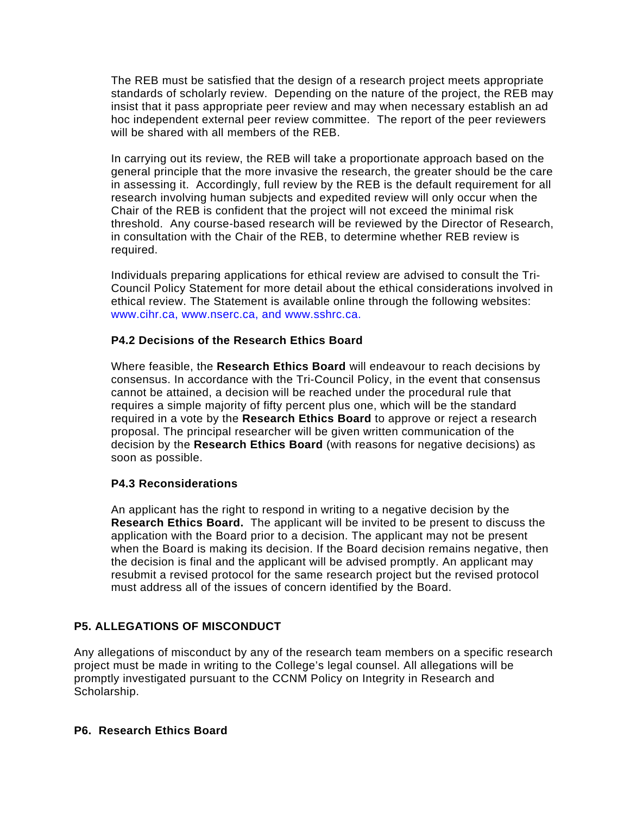The REB must be satisfied that the design of a research project meets appropriate standards of scholarly review. Depending on the nature of the project, the REB may insist that it pass appropriate peer review and may when necessary establish an ad hoc independent external peer review committee. The report of the peer reviewers will be shared with all members of the REB.

In carrying out its review, the REB will take a proportionate approach based on the general principle that the more invasive the research, the greater should be the care in assessing it. Accordingly, full review by the REB is the default requirement for all research involving human subjects and expedited review will only occur when the Chair of the REB is confident that the project will not exceed the minimal risk threshold. Any course-based research will be reviewed by the Director of Research, in consultation with the Chair of the REB, to determine whether REB review is required.

Individuals preparing applications for ethical review are advised to consult the Tri-Council Policy Statement for more detail about the ethical considerations involved in ethical review. The Statement is available online through the following websites: www.cihr.ca, www.nserc.ca, and www.sshrc.ca.

### **P4.2 Decisions of the Research Ethics Board**

Where feasible, the **Research Ethics Board** will endeavour to reach decisions by consensus. In accordance with the Tri-Council Policy, in the event that consensus cannot be attained, a decision will be reached under the procedural rule that requires a simple majority of fifty percent plus one, which will be the standard required in a vote by the **Research Ethics Board** to approve or reject a research proposal. The principal researcher will be given written communication of the decision by the **Research Ethics Board** (with reasons for negative decisions) as soon as possible.

## **P4.3 Reconsiderations**

An applicant has the right to respond in writing to a negative decision by the **Research Ethics Board.** The applicant will be invited to be present to discuss the application with the Board prior to a decision. The applicant may not be present when the Board is making its decision. If the Board decision remains negative, then the decision is final and the applicant will be advised promptly. An applicant may resubmit a revised protocol for the same research project but the revised protocol must address all of the issues of concern identified by the Board.

## **P5. ALLEGATIONS OF MISCONDUCT**

Any allegations of misconduct by any of the research team members on a specific research project must be made in writing to the College's legal counsel. All allegations will be promptly investigated pursuant to the CCNM Policy on Integrity in Research and Scholarship.

#### **P6. Research Ethics Board**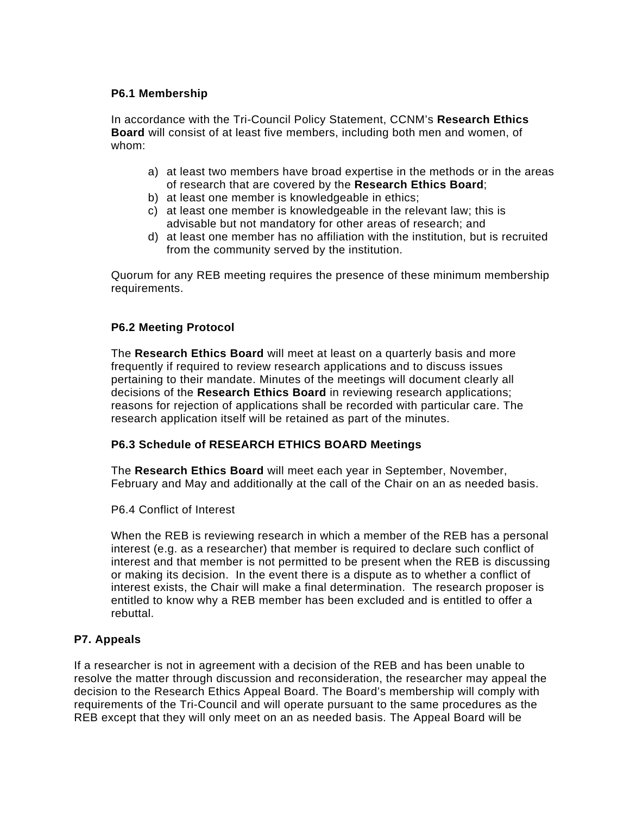## **P6.1 Membership**

In accordance with the Tri-Council Policy Statement, CCNM's **Research Ethics Board** will consist of at least five members, including both men and women, of whom:

- a) at least two members have broad expertise in the methods or in the areas of research that are covered by the **Research Ethics Board**;
- b) at least one member is knowledgeable in ethics;
- c) at least one member is knowledgeable in the relevant law; this is advisable but not mandatory for other areas of research; and
- d) at least one member has no affiliation with the institution, but is recruited from the community served by the institution.

Quorum for any REB meeting requires the presence of these minimum membership requirements.

### **P6.2 Meeting Protocol**

The **Research Ethics Board** will meet at least on a quarterly basis and more frequently if required to review research applications and to discuss issues pertaining to their mandate. Minutes of the meetings will document clearly all decisions of the **Research Ethics Board** in reviewing research applications; reasons for rejection of applications shall be recorded with particular care. The research application itself will be retained as part of the minutes.

#### **P6.3 Schedule of RESEARCH ETHICS BOARD Meetings**

The **Research Ethics Board** will meet each year in September, November, February and May and additionally at the call of the Chair on an as needed basis.

P6.4 Conflict of Interest

When the REB is reviewing research in which a member of the REB has a personal interest (e.g. as a researcher) that member is required to declare such conflict of interest and that member is not permitted to be present when the REB is discussing or making its decision. In the event there is a dispute as to whether a conflict of interest exists, the Chair will make a final determination. The research proposer is entitled to know why a REB member has been excluded and is entitled to offer a rebuttal.

## **P7. Appeals**

If a researcher is not in agreement with a decision of the REB and has been unable to resolve the matter through discussion and reconsideration, the researcher may appeal the decision to the Research Ethics Appeal Board. The Board's membership will comply with requirements of the Tri-Council and will operate pursuant to the same procedures as the REB except that they will only meet on an as needed basis. The Appeal Board will be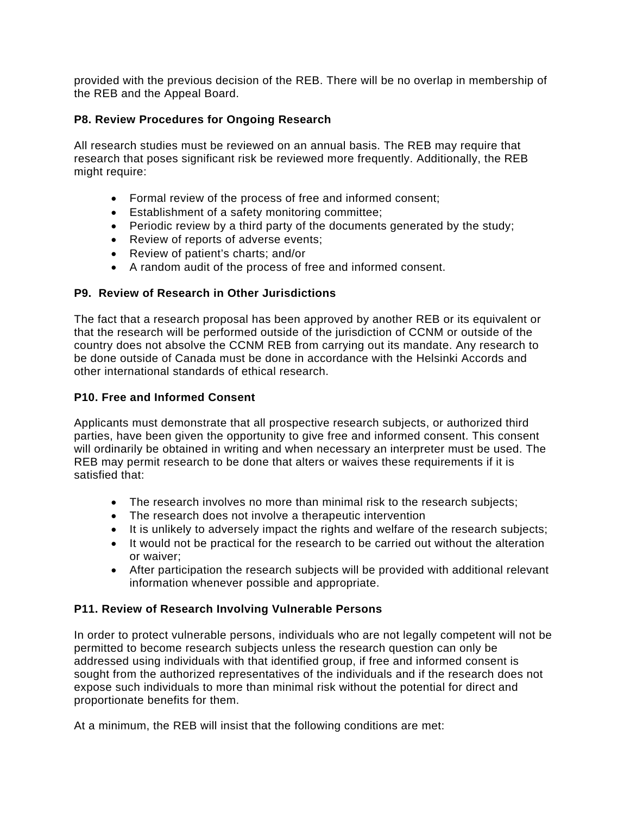provided with the previous decision of the REB. There will be no overlap in membership of the REB and the Appeal Board.

## **P8. Review Procedures for Ongoing Research**

All research studies must be reviewed on an annual basis. The REB may require that research that poses significant risk be reviewed more frequently. Additionally, the REB might require:

- Formal review of the process of free and informed consent;
- Establishment of a safety monitoring committee;
- Periodic review by a third party of the documents generated by the study;
- Review of reports of adverse events;
- Review of patient's charts; and/or
- A random audit of the process of free and informed consent.

### **P9. Review of Research in Other Jurisdictions**

The fact that a research proposal has been approved by another REB or its equivalent or that the research will be performed outside of the jurisdiction of CCNM or outside of the country does not absolve the CCNM REB from carrying out its mandate. Any research to be done outside of Canada must be done in accordance with the Helsinki Accords and other international standards of ethical research.

### **P10. Free and Informed Consent**

Applicants must demonstrate that all prospective research subjects, or authorized third parties, have been given the opportunity to give free and informed consent. This consent will ordinarily be obtained in writing and when necessary an interpreter must be used. The REB may permit research to be done that alters or waives these requirements if it is satisfied that:

- The research involves no more than minimal risk to the research subjects;
- The research does not involve a therapeutic intervention
- It is unlikely to adversely impact the rights and welfare of the research subjects;
- It would not be practical for the research to be carried out without the alteration or waiver;
- After participation the research subjects will be provided with additional relevant information whenever possible and appropriate.

#### **P11. Review of Research Involving Vulnerable Persons**

In order to protect vulnerable persons, individuals who are not legally competent will not be permitted to become research subjects unless the research question can only be addressed using individuals with that identified group, if free and informed consent is sought from the authorized representatives of the individuals and if the research does not expose such individuals to more than minimal risk without the potential for direct and proportionate benefits for them.

At a minimum, the REB will insist that the following conditions are met: